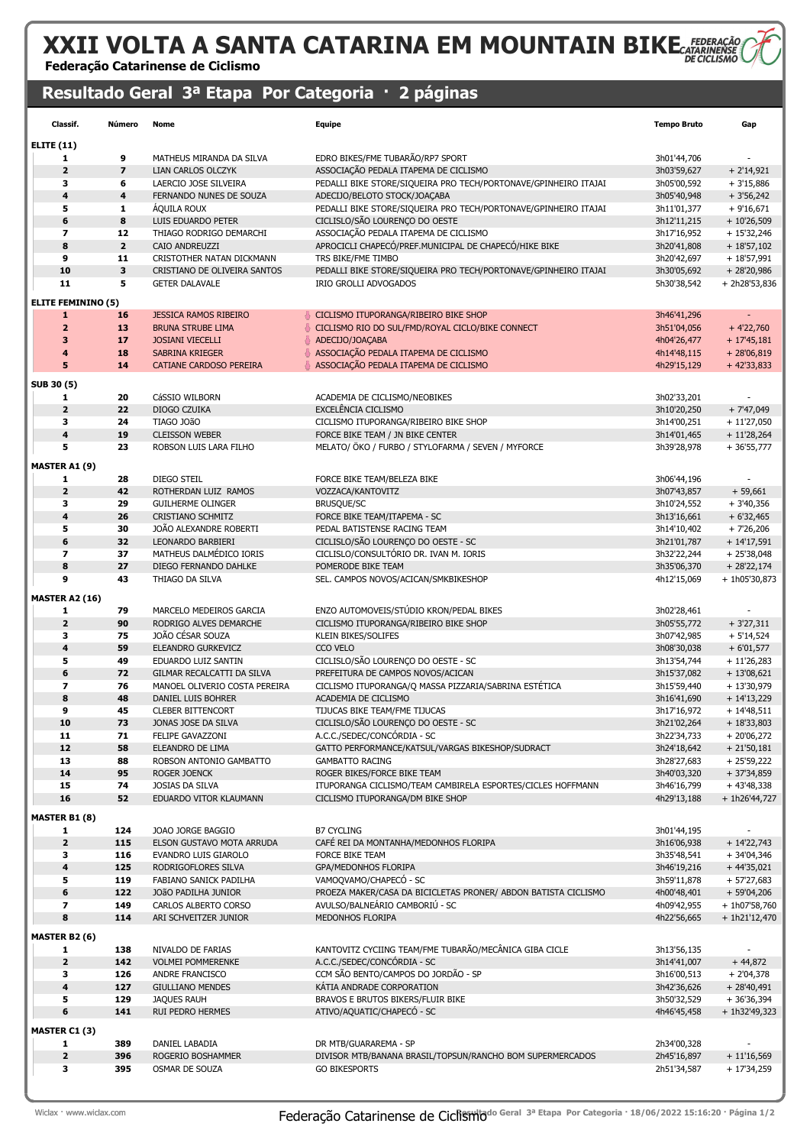### XXII VOLTA A SANTA CATARINA EM MOUNTAIN BIKE FEDERACÃO Federação Catarinense de Ciclismo

### Resultado Geral 3ª Etapa Por Categoria · 2 páginas

| Classif.                     | Número                  | Nome                                                | <b>Equipe</b>                                                                                     | <b>Tempo Bruto</b>         | Gap                           |
|------------------------------|-------------------------|-----------------------------------------------------|---------------------------------------------------------------------------------------------------|----------------------------|-------------------------------|
| <b>ELITE (11)</b>            |                         |                                                     |                                                                                                   |                            |                               |
| 1                            | 9                       | MATHEUS MIRANDA DA SILVA                            | EDRO BIKES/FME TUBARÃO/RP7 SPORT                                                                  | 3h01'44,706                |                               |
| $\mathbf{2}$                 | $\overline{\mathbf{z}}$ | <b>LIAN CARLOS OLCZYK</b>                           | ASSOCIAÇÃO PEDALA ITAPEMA DE CICLISMO                                                             | 3h03'59,627                | $+2'14,921$                   |
| 3                            | 6                       | LAERCIO JOSE SILVEIRA                               | PEDALLI BIKE STORE/SIQUEIRA PRO TECH/PORTONAVE/GPINHEIRO ITAJAI                                   | 3h05'00,592                | $+3'15,886$                   |
| $\overline{\mathbf{4}}$      | $\ddot{\mathbf{4}}$     | FERNANDO NUNES DE SOUZA                             | ADECIJO/BELOTO STOCK/JOAÇABA                                                                      | 3h05'40,948                | $+3'56,242$                   |
| 5<br>6                       | 1<br>8                  | ÁQUILA ROUX<br>LUIS EDUARDO PETER                   | PEDALLI BIKE STORE/SIQUEIRA PRO TECH/PORTONAVE/GPINHEIRO ITAJAI<br>CICLISLO/SÃO LOURENÇO DO OESTE | 3h11'01,377<br>3h12'11,215 | $+9'16,671$<br>$+10'26,509$   |
| 7                            | 12                      | THIAGO RODRIGO DEMARCHI                             | ASSOCIAÇÃO PEDALA ITAPEMA DE CICLISMO                                                             | 3h17'16,952                | $+15'32,246$                  |
| 8                            | $\overline{2}$          | CAIO ANDREUZZI                                      | APROCICLI CHAPECÓ/PREF.MUNICIPAL DE CHAPECÓ/HIKE BIKE                                             | 3h20'41,808                | $+18'57,102$                  |
| 9                            | 11                      | CRISTOTHER NATAN DICKMANN                           | TRS BIKE/FME TIMBO                                                                                | 3h20'42,697                | $+18'57,991$                  |
| 10                           | $\overline{\mathbf{3}}$ | CRISTIANO DE OLIVEIRA SANTOS                        | PEDALLI BIKE STORE/SIQUEIRA PRO TECH/PORTONAVE/GPINHEIRO ITAJAI                                   | 3h30'05,692                | $+28'20,986$                  |
| 11                           | 5                       | <b>GETER DALAVALE</b>                               | IRIO GROLLI ADVOGADOS                                                                             | 5h30'38,542                | + 2h28'53,836                 |
| <b>ELITE FEMININO (5)</b>    |                         |                                                     |                                                                                                   |                            |                               |
| $\mathbf{1}$                 | 16                      | <b>JESSICA RAMOS RIBEIRO</b>                        | CICLISMO ITUPORANGA/RIBEIRO BIKE SHOP                                                             | 3h46'41,296                | $\overline{\phantom{a}}$      |
| $\overline{2}$               | 13                      | <b>BRUNA STRUBE LIMA</b>                            | CICLISMO RIO DO SUL/FMD/ROYAL CICLO/BIKE CONNECT                                                  | 3h51'04,056                | $+4'22,760$                   |
| 3                            | 17                      | <b>JOSIANI VIECELLI</b>                             | ADECIJO/JOAÇABA                                                                                   | 4h04'26,477                | $+17'45,181$                  |
| 4                            | 18                      | SABRINA KRIEGER                                     | ASSOCIAÇÃO PEDALA ITAPEMA DE CICLISMO                                                             | 4h14'48,115                | $+28'06,819$                  |
| 5                            | 14                      | <b>CATIANE CARDOSO PEREIRA</b>                      | ASSOCIAÇÃO PEDALA ITAPEMA DE CICLISMO                                                             | 4h29'15,129                | $+42'33,833$                  |
| SUB 30 (5)                   |                         |                                                     |                                                                                                   |                            |                               |
| 1                            | 20                      | CáSSIO WILBORN                                      | ACADEMIA DE CICLISMO/NEOBIKES                                                                     | 3h02'33,201                |                               |
| $\mathbf{2}$                 | 22                      | DIOGO CZUIKA                                        | EXCELÊNCIA CICLISMO                                                                               | 3h10'20,250                | $+7'47,049$                   |
| з                            | 24                      | TIAGO JOãO                                          | CICLISMO ITUPORANGA/RIBEIRO BIKE SHOP                                                             | 3h14'00,251                | $+11'27,050$                  |
| $\overline{\mathbf{4}}$      | 19                      | <b>CLEISSON WEBER</b>                               | FORCE BIKE TEAM / JN BIKE CENTER                                                                  | 3h14'01,465                | $+ 11'28,264$                 |
| 5                            | 23                      | ROBSON LUIS LARA FILHO                              | MELATO/ ÖKO / FURBO / STYLOFARMA / SEVEN / MYFORCE                                                | 3h39'28,978                | $+36'55,777$                  |
| <b>MASTER A1 (9)</b>         |                         |                                                     |                                                                                                   |                            |                               |
| 1                            | 28                      | DIEGO STEIL                                         | FORCE BIKE TEAM/BELEZA BIKE                                                                       | 3h06'44,196                |                               |
| $\overline{\mathbf{2}}$      | 42                      | ROTHERDAN LUIZ RAMOS                                | VOZZACA/KANTOVITZ                                                                                 | 3h07'43,857                | $+ 59,661$                    |
| з                            | 29                      | <b>GUILHERME OLINGER</b>                            | BRUSQUE/SC                                                                                        | 3h10'24,552                | $+3'40,356$                   |
| $\overline{\mathbf{4}}$<br>5 | 26<br>30                | CRISTIANO SCHMITZ<br>JOÃO ALEXANDRE ROBERTI         | FORCE BIKE TEAM/ITAPEMA - SC<br>PEDAL BATISTENSE RACING TEAM                                      | 3h13'16,661<br>3h14'10,402 | $+6'32,465$<br>$+7'26,206$    |
| 6                            | 32                      | LEONARDO BARBIERI                                   | CICLISLO/SÃO LOURENÇO DO OESTE - SC                                                               | 3h21'01,787                | $+ 14'17,591$                 |
| 7                            | 37                      | MATHEUS DALMÉDICO IORIS                             | CICLISLO/CONSULTÓRIO DR. IVAN M. IORIS                                                            | 3h32'22,244                | $+25'38,048$                  |
| 8                            | 27                      | DIEGO FERNANDO DAHLKE                               | POMERODE BIKE TEAM                                                                                | 3h35'06,370                | $+28'22,174$                  |
| 9                            | 43                      | THIAGO DA SILVA                                     | SEL. CAMPOS NOVOS/ACICAN/SMKBIKESHOP                                                              | 4h12'15,069                | + 1h05'30,873                 |
| <b>MASTER A2 (16)</b>        |                         |                                                     |                                                                                                   |                            |                               |
| 1                            | 79                      | MARCELO MEDEIROS GARCIA                             | ENZO AUTOMOVEIS/STÚDIO KRON/PEDAL BIKES                                                           | 3h02'28,461                |                               |
| $\mathbf{2}$                 | 90                      | RODRIGO ALVES DEMARCHE                              | CICLISMO ITUPORANGA/RIBEIRO BIKE SHOP                                                             | 3h05'55,772                | $+3'27,311$                   |
| 3                            | 75                      | JOÃO CÉSAR SOUZA                                    | KLEIN BIKES/SOLIFES                                                                               | 3h07'42,985                | $+5'14,524$                   |
| $\overline{\mathbf{4}}$      | 59                      | ELEANDRO GURKEVICZ                                  | CCO VELO                                                                                          | 3h08'30,038                | $+6'01,577$                   |
| 5                            | 49                      | EDUARDO LUIZ SANTIN                                 | CICLISLO/SÃO LOURENÇO DO OESTE - SC                                                               | 3h13'54,744                | $+11'26,283$                  |
| 6                            | 72<br>76                | GILMAR RECALCATTI DA SILVA                          | PREFEITURA DE CAMPOS NOVOS/ACICAN                                                                 | 3h15'37,082                | $+13'08,621$                  |
| 7<br>8                       | 48                      | MANOEL OLIVERIO COSTA PEREIRA<br>DANIEL LUIS BOHRER | CICLISMO ITUPORANGA/Q MASSA PIZZARIA/SABRINA ESTÉTICA<br>ACADEMIA DE CICLISMO                     | 3h15'59,440<br>3h16'41,690 | + 13'30,979<br>$+14'13,229$   |
| 9                            | 45                      | <b>CLEBER BITTENCORT</b>                            | TIJUCAS BIKE TEAM/FME TIJUCAS                                                                     | 3h17'16,972                | $+ 14'48,511$                 |
| 10                           | 73                      | JONAS JOSE DA SILVA                                 | CICLISLO/SÃO LOURENÇO DO OESTE - SC                                                               | 3h21'02,264                | $+1833,803$                   |
| 11                           | 71                      | FELIPE GAVAZZONI                                    | A.C.C./SEDEC/CONCÓRDIA - SC                                                                       | 3h22'34,733                | $+20'06,272$                  |
| 12                           | 58                      | ELEANDRO DE LIMA                                    | GATTO PERFORMANCE/KATSUL/VARGAS BIKESHOP/SUDRACT                                                  | 3h24'18,642                | $+21'50,181$                  |
| 13                           | 88                      | ROBSON ANTONIO GAMBATTO                             | <b>GAMBATTO RACING</b>                                                                            | 3h28'27,683                | $+25'59,222$                  |
| 14                           | 95                      | ROGER JOENCK                                        | ROGER BIKES/FORCE BIKE TEAM                                                                       | 3h40'03,320                | $+37'34,859$                  |
| 15<br>16                     | 74<br>52                | JOSIAS DA SILVA<br>EDUARDO VITOR KLAUMANN           | ITUPORANGA CICLISMO/TEAM CAMBIRELA ESPORTES/CICLES HOFFMANN<br>CICLISMO ITUPORANGA/DM BIKE SHOP   | 3h46'16,799<br>4h29'13,188 | $+43'48,338$                  |
|                              |                         |                                                     |                                                                                                   |                            | + 1h26'44,727                 |
| <b>MASTER B1 (8)</b>         |                         |                                                     |                                                                                                   |                            |                               |
| 1<br>$\mathbf{2}$            | 124                     | JOAO JORGE BAGGIO<br>ELSON GUSTAVO MOTA ARRUDA      | <b>B7 CYCLING</b>                                                                                 | 3h01'44,195                |                               |
| з                            | 115<br>116              | EVANDRO LUIS GIAROLO                                | CAFÉ REI DA MONTANHA/MEDONHOS FLORIPA<br>FORCE BIKE TEAM                                          | 3h16'06,938<br>3h35'48,541 | $+ 14'22,743$<br>$+34'04,346$ |
| 4                            | 125                     | RODRIGOFLORES SILVA                                 | GPA/MEDONHOS FLORIPA                                                                              | 3h46'19,216                | $+44'35,021$                  |
| 5                            | 119                     | FABIANO SANICK PADILHA                              | VAMOQVAMO/CHAPECÓ - SC                                                                            | 3h59'11,878                | $+57'27,683$                  |
| 6                            | 122                     | JOÃO PADILHA JUNIOR                                 | PROEZA MAKER/CASA DA BICICLETAS PRONER/ ABDON BATISTA CICLISMO                                    | 4h00'48,401                | $+59'04,206$                  |
| 7                            | 149                     | CARLOS ALBERTO CORSO                                | AVULSO/BALNEÁRIO CAMBORIÚ - SC                                                                    | 4h09'42,955                | + 1h07'58,760                 |
| 8                            | 114                     | ARI SCHVEITZER JUNIOR                               | MEDONHOS FLORIPA                                                                                  | 4h22'56,665                | $+ 1h21'12,470$               |
| <b>MASTER B2 (6)</b>         |                         |                                                     |                                                                                                   |                            |                               |
| 1                            | 138                     | NIVALDO DE FARIAS                                   | KANTOVITZ CYCIING TEAM/FME TUBARÃO/MECÂNICA GIBA CICLE                                            | 3h13'56,135                |                               |
| $\mathbf{2}$                 | 142                     | <b>VOLMEI POMMERENKE</b>                            | A.C.C./SEDEC/CONCÓRDIA - SC                                                                       | 3h14'41,007                | $+44,872$                     |
| з                            | 126                     | ANDRE FRANCISCO                                     | CCM SÃO BENTO/CAMPOS DO JORDÃO - SP                                                               | 3h16'00,513                | $+2'04,378$                   |
| 4                            | 127                     | <b>GIULLIANO MENDES</b>                             | KÁTIA ANDRADE CORPORATION                                                                         | 3h42'36,626                | $+ 28'40,491$                 |
| 5<br>6                       | 129<br>141              | <b>JAQUES RAUH</b><br>RUI PEDRO HERMES              | BRAVOS E BRUTOS BIKERS/FLUIR BIKE<br>ATIVO/AQUATIC/CHAPECÓ - SC                                   | 3h50'32,529<br>4h46'45,458 | $+36'36,394$<br>+ 1h32'49,323 |
|                              |                         |                                                     |                                                                                                   |                            |                               |
| <b>MASTER C1 (3)</b>         |                         |                                                     |                                                                                                   |                            |                               |
| 1                            | 389                     | DANIEL LABADIA                                      | DR MTB/GUARAREMA - SP                                                                             | 2h34'00,328                |                               |
| $\mathbf{2}$<br>з            | 396<br>395              | ROGERIO BOSHAMMER<br>OSMAR DE SOUZA                 | DIVISOR MTB/BANANA BRASIL/TOPSUN/RANCHO BOM SUPERMERCADOS<br><b>GO BIKESPORTS</b>                 | 2h45'16,897<br>2h51'34,587 | $+11'16,569$<br>+ 17'34,259   |
|                              |                         |                                                     |                                                                                                   |                            |                               |

Wiclax · www.wiclax.com **Rederação Catarinense de Ciclismic**do Geral 3ª Etapa Por Categoria · 18/06/2022 15:16:20 · Página 1/2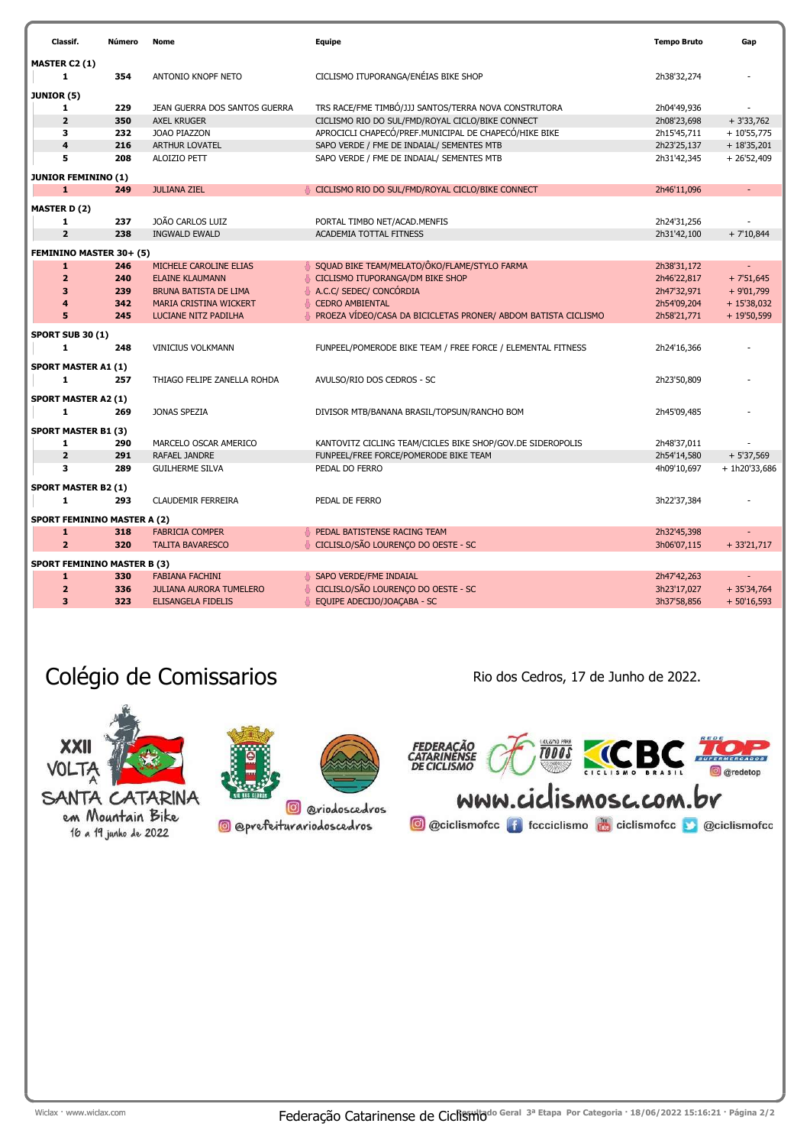| Classif.                                   | Número     | Nome                           | Equipe                                                         | <b>Tempo Bruto</b>         | Gap                          |
|--------------------------------------------|------------|--------------------------------|----------------------------------------------------------------|----------------------------|------------------------------|
| MASTER C2 (1)                              |            |                                |                                                                |                            |                              |
| $\mathbf{1}$                               | 354        | ANTONIO KNOPF NETO             | CICLISMO ITUPORANGA/ENÉIAS BIKE SHOP                           | 2h38'32,274                |                              |
| JUNIOR (5)                                 |            |                                |                                                                |                            |                              |
| 1                                          | 229        | JEAN GUERRA DOS SANTOS GUERRA  | TRS RACE/FME TIMBÓ/JJJ SANTOS/TERRA NOVA CONSTRUTORA           | 2h04'49,936                |                              |
| $\overline{\mathbf{2}}$                    | 350        | <b>AXEL KRUGER</b>             | CICLISMO RIO DO SUL/FMD/ROYAL CICLO/BIKE CONNECT               | 2h08'23,698                | $+3'33,762$                  |
| 3                                          | 232        | JOAO PIAZZON                   | APROCICLI CHAPECÓ/PREF.MUNICIPAL DE CHAPECÓ/HIKE BIKE          | 2h15'45,711                | $+10'55,775$                 |
| $\overline{\mathbf{4}}$                    | 216        | ARTHUR LOVATEL                 | SAPO VERDE / FME DE INDAIAL/ SEMENTES MTB                      | 2h23'25,137                | $+18'35,201$                 |
| 5                                          | 208        | ALOIZIO PETT                   | SAPO VERDE / FME DE INDAIAL/ SEMENTES MTB                      | 2h31'42,345                | $+26'52,409$                 |
|                                            |            |                                |                                                                |                            |                              |
| <b>JUNIOR FEMININO (1)</b><br>$\mathbf{1}$ | 249        | <b>JULIANA ZIEL</b>            | CICLISMO RIO DO SUL/FMD/ROYAL CICLO/BIKE CONNECT               | 2h46'11,096                | $\blacksquare$               |
|                                            |            |                                |                                                                |                            |                              |
| <b>MASTER D (2)</b>                        |            |                                |                                                                |                            |                              |
| 1                                          | 237        | JOÃO CARLOS LUIZ               | PORTAL TIMBO NET/ACAD.MENFIS                                   | 2h24'31,256                |                              |
| $\overline{2}$                             | 238        | <b>INGWALD EWALD</b>           | ACADEMIA TOTTAL FITNESS                                        | 2h31'42,100                | $+7'10,844$                  |
| FEMININO MASTER 30+ (5)                    |            |                                |                                                                |                            |                              |
| $\mathbf{1}$                               | 246        | MICHELE CAROLINE ELIAS         | SQUAD BIKE TEAM/MELATO/ÔKO/FLAME/STYLO FARMA                   | 2h38'31,172                |                              |
| $\overline{\mathbf{2}}$                    | 240        | <b>ELAINE KLAUMANN</b>         | CICLISMO ITUPORANGA/DM BIKE SHOP                               | 2h46'22,817                | $+7'51,645$                  |
| 3                                          | 239        | <b>BRUNA BATISTA DE LIMA</b>   | A.C.C/ SEDEC/ CONCÓRDIA                                        | 2h47'32,971                | $+9'01,799$                  |
| $\overline{\mathbf{4}}$                    | 342        | MARIA CRISTINA WICKERT         | <b>CEDRO AMBIENTAL</b>                                         | 2h54'09,204                | $+ 15'38,032$                |
| 5                                          | 245        | LUCIANE NITZ PADILHA           | PROEZA VÍDEO/CASA DA BICICLETAS PRONER/ ABDOM BATISTA CICLISMO | 2h58'21,771                | $+19'50,599$                 |
| <b>SPORT SUB 30 (1)</b>                    |            |                                |                                                                |                            |                              |
| 1                                          | 248        | <b>VINICIUS VOLKMANN</b>       | FUNPEEL/POMERODE BIKE TEAM / FREE FORCE / ELEMENTAL FITNESS    | 2h24'16,366                |                              |
|                                            |            |                                |                                                                |                            |                              |
| <b>SPORT MASTER A1 (1)</b>                 |            |                                |                                                                |                            |                              |
| 1                                          | 257        | THIAGO FELIPE ZANELLA ROHDA    | AVULSO/RIO DOS CEDROS - SC                                     | 2h23'50,809                |                              |
| <b>SPORT MASTER A2 (1)</b>                 |            |                                |                                                                |                            |                              |
| 1                                          | 269        | JONAS SPEZIA                   | DIVISOR MTB/BANANA BRASIL/TOPSUN/RANCHO BOM                    | 2h45'09,485                |                              |
|                                            |            |                                |                                                                |                            |                              |
| <b>SPORT MASTER B1 (3)</b>                 |            |                                |                                                                |                            |                              |
| 1<br>$\overline{2}$                        | 290<br>291 | MARCELO OSCAR AMERICO          | KANTOVITZ CICLING TEAM/CICLES BIKE SHOP/GOV.DE SIDEROPOLIS     | 2h48'37,011                |                              |
| 3                                          | 289        | RAFAEL JANDRE                  | FUNPEEL/FREE FORCE/POMERODE BIKE TEAM<br>PEDAL DO FERRO        | 2h54'14,580                | $+5'37,569$                  |
|                                            |            | <b>GUILHERME SILVA</b>         |                                                                | 4h09'10,697                | + 1h20'33,686                |
| <b>SPORT MASTER B2 (1)</b>                 |            |                                |                                                                |                            |                              |
| $\mathbf{1}$                               | 293        | <b>CLAUDEMIR FERREIRA</b>      | PEDAL DE FERRO                                                 | 3h22'37,384                |                              |
| <b>SPORT FEMININO MASTER A (2)</b>         |            |                                |                                                                |                            |                              |
| $\mathbf{1}$                               | 318        | <b>FABRICIA COMPER</b>         | PEDAL BATISTENSE RACING TEAM                                   | 2h32'45,398                |                              |
| $\overline{2}$                             | 320        | <b>TALITA BAVARESCO</b>        | CICLISLO/SÃO LOURENÇO DO OESTE - SC                            | 3h06'07,115                | $+33'21,717$                 |
|                                            |            |                                |                                                                |                            |                              |
| <b>SPORT FEMININO MASTER B (3)</b>         | 330        | <b>FABIANA FACHINI</b>         | SAPO VERDE/FME INDAIAL                                         |                            |                              |
| 1<br>$\overline{2}$                        | 336        | <b>JULIANA AURORA TUMELERO</b> | CICLISLO/SÃO LOURENÇO DO OESTE - SC                            | 2h47'42,263<br>3h23'17,027 |                              |
| 3                                          | 323        | <b>ELISANGELA FIDELIS</b>      | EQUIPE ADECIJO/JOAÇABA - SC                                    | 3h37'58,856                | $+35'34,764$<br>$+50'16,593$ |
|                                            |            |                                |                                                                |                            |                              |

## Colégio de Comissarios **Rio de Comissarios** Rio dos Cedros, 17 de Junho de 2022.



em Mountain Bike 16 a 19 junho de 2022



<sup>o</sup> @riodoscedros

**@** @prefeiturariodoscedros

TOUS CCBC THE FEDERAÇÃO<br>CATARINÊNSE<br>DE CICLISMO  $rac{1}{\sqrt{1-\frac{1}{2}}}$ **O** @redetop

WWW.ciclismosc.com.br **O** @ciclismofcc **f** fccciclismo **de ciclismofcc D** @ciclismofcc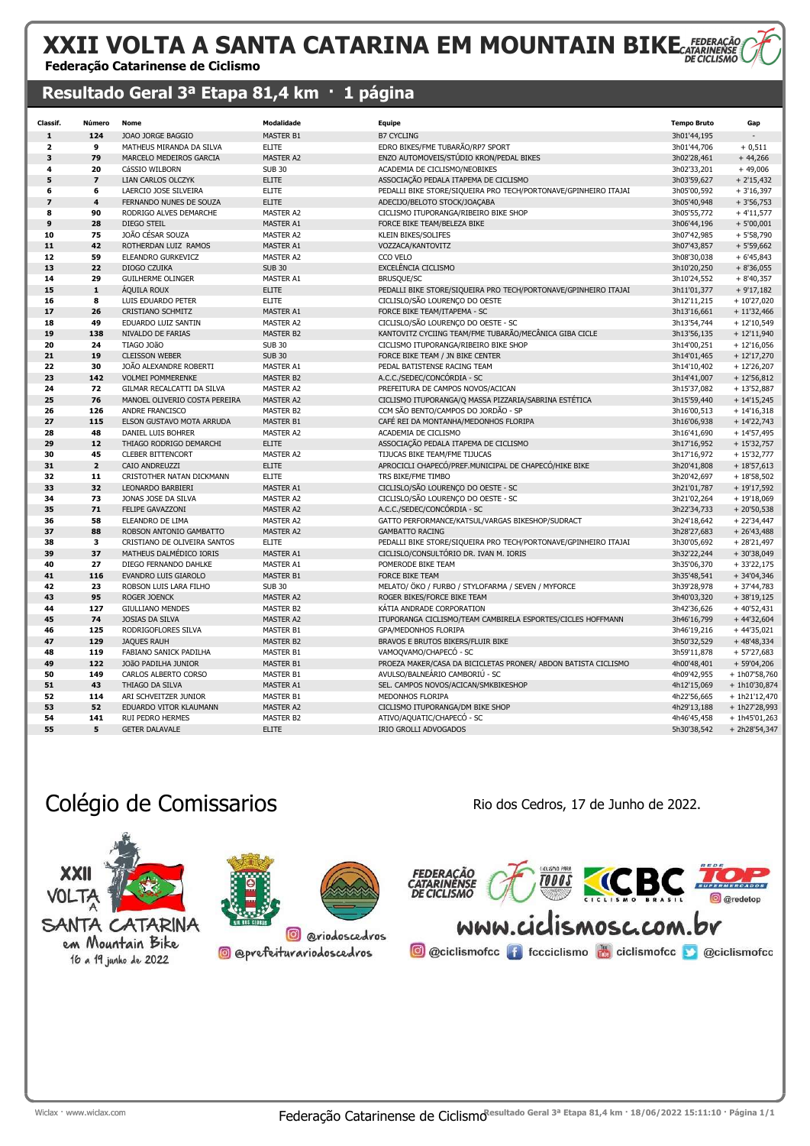# XXII VOLTA A SANTA CATARINA EM MOUNTAIN BIKECATARRE

#### Federação Catarinense de Ciclismo

#### Resultado Geral 3ª Etapa 81,4 km · 1 página

| Classif.                | Número                  | Nome                          | <b>Modalidade</b> | Equipe                                                          | <b>Tempo Bruto</b> | Gap             |
|-------------------------|-------------------------|-------------------------------|-------------------|-----------------------------------------------------------------|--------------------|-----------------|
| 1                       | 124                     | JOAO JORGE BAGGIO             | MASTER B1         | <b>B7 CYCLING</b>                                               | 3h01'44,195        |                 |
| $\overline{\mathbf{2}}$ | 9                       | MATHEUS MIRANDA DA SILVA      | <b>ELITE</b>      | EDRO BIKES/FME TUBARÃO/RP7 SPORT                                | 3h01'44,706        | $+0,511$        |
| 3                       | 79                      | MARCELO MEDEIROS GARCIA       | MASTER A2         | ENZO AUTOMOVEIS/STÚDIO KRON/PEDAL BIKES                         | 3h02'28,461        | $+44,266$       |
| 4                       | 20                      | CáSSIO WILBORN                | <b>SUB 30</b>     | ACADEMIA DE CICLISMO/NEOBIKES                                   | 3h02'33,201        | $+49,006$       |
| 5                       | $\overline{\mathbf{z}}$ | LIAN CARLOS OLCZYK            | <b>ELITE</b>      | ASSOCIAÇÃO PEDALA ITAPEMA DE CICLISMO                           | 3h03'59,627        | $+2'15,432$     |
| 6                       | 6                       | LAERCIO JOSE SILVEIRA         | <b>ELITE</b>      | PEDALLI BIKE STORE/SIQUEIRA PRO TECH/PORTONAVE/GPINHEIRO ITAJAI | 3h05'00,592        | $+3'16,397$     |
| $\overline{z}$          | $\overline{\mathbf{4}}$ | FERNANDO NUNES DE SOUZA       | <b>ELITE</b>      | ADECIJO/BELOTO STOCK/JOACABA                                    | 3h05'40,948        | $+3'56,753$     |
| 8                       | 90                      | RODRIGO ALVES DEMARCHE        | MASTER A2         | CICLISMO ITUPORANGA/RIBEIRO BIKE SHOP                           | 3h05'55,772        | $+4'11,577$     |
| $\mathbf{9}$            | 28                      | <b>DIEGO STEIL</b>            | <b>MASTER A1</b>  | FORCE BIKE TEAM/BELEZA BIKE                                     | 3h06'44,196        | $+5'00,001$     |
| 10                      | 75                      | JOÃO CÉSAR SOUZA              | <b>MASTER A2</b>  | <b>KLEIN BIKES/SOLIFES</b>                                      | 3h07'42,985        | $+5'58,790$     |
| 11                      | 42                      | ROTHERDAN LUIZ RAMOS          | MASTER A1         | VOZZACA/KANTOVITZ                                               | 3h07'43,857        | $+5'59,662$     |
| 12                      | 59                      | ELEANDRO GURKEVICZ            | MASTER A2         | CCO VELO                                                        | 3h08'30,038        | $+6'45,843$     |
| 13                      | 22                      | DIOGO CZUIKA                  | <b>SUB 30</b>     | EXCELÊNCIA CICLISMO                                             | 3h10'20,250        | $+8'36,055$     |
| 14                      | 29                      | <b>GUILHERME OLINGER</b>      | MASTER A1         | <b>BRUSQUE/SC</b>                                               | 3h10'24,552        | $+8'40,357$     |
| 15                      | $\mathbf 1$             | <b>AQUILA ROUX</b>            | <b>ELITE</b>      | PEDALLI BIKE STORE/SIQUEIRA PRO TECH/PORTONAVE/GPINHEIRO ITAJAI | 3h11'01,377        | $+9'17,182$     |
| 16                      | 8                       | LUIS EDUARDO PETER            | <b>ELITE</b>      | CICLISLO/SÃO LOURENÇO DO OESTE                                  | 3h12'11,215        | $+10'27,020$    |
| 17                      | 26                      | <b>CRISTIANO SCHMITZ</b>      | MASTER A1         | FORCE BIKE TEAM/ITAPEMA - SC                                    | 3h13'16,661        | $+11'32,466$    |
| 18                      | 49                      | EDUARDO LUIZ SANTIN           | <b>MASTER A2</b>  | CICLISLO/SÃO LOURENÇO DO OESTE - SC                             | 3h13'54,744        | $+12'10,549$    |
| 19                      | 138                     | NIVALDO DE FARIAS             | MASTER B2         | KANTOVITZ CYCIING TEAM/FME TUBARÃO/MECÂNICA GIBA CICLE          | 3h13'56,135        | $+12'11,940$    |
| 20                      | 24                      | TIAGO JOÃO                    | <b>SUB 30</b>     | CICLISMO ITUPORANGA/RIBEIRO BIKE SHOP                           | 3h14'00,251        | $+12'16,056$    |
| 21                      | 19                      | <b>CLEISSON WEBER</b>         | <b>SUB 30</b>     | FORCE BIKE TEAM / JN BIKE CENTER                                | 3h14'01,465        | $+12'17,270$    |
| 22                      | 30                      | JOÃO ALEXANDRE ROBERTI        | MASTER A1         | PEDAL BATISTENSE RACING TEAM                                    | 3h14'10,402        | $+12'26,207$    |
| 23                      | 142                     | <b>VOLMEI POMMERENKE</b>      | MASTER B2         | A.C.C./SEDEC/CONCÓRDIA - SC                                     | 3h14'41,007        | $+12'56,812$    |
| 24                      | 72                      | GILMAR RECALCATTI DA SILVA    | <b>MASTER A2</b>  | PREFEITURA DE CAMPOS NOVOS/ACICAN                               | 3h15'37,082        | $+13'52,887$    |
| 25                      | 76                      | MANOEL OLIVERIO COSTA PEREIRA | <b>MASTER A2</b>  | CICLISMO ITUPORANGA/Q MASSA PIZZARIA/SABRINA ESTÉTICA           | 3h15'59,440        | $+14'15,245$    |
| 26                      | 126                     | ANDRE FRANCISCO               | <b>MASTER B2</b>  | CCM SÃO BENTO/CAMPOS DO JORDÃO - SP                             | 3h16'00,513        | $+14'16,318$    |
| 27                      | 115                     | ELSON GUSTAVO MOTA ARRUDA     | MASTER B1         | CAFÉ REI DA MONTANHA/MEDONHOS FLORIPA                           | 3h16'06,938        | $+ 14'22,743$   |
| 28                      | 48                      | DANIEL LUIS BOHRER            | <b>MASTER A2</b>  | ACADEMIA DE CICLISMO                                            | 3h16'41,690        | $+1457,495$     |
| 29                      | 12                      | THIAGO RODRIGO DEMARCHI       | <b>ELITE</b>      | ASSOCIAÇÃO PEDALA ITAPEMA DE CICLISMO                           | 3h17'16,952        | $+15'32,757$    |
| 30                      | 45                      | <b>CLEBER BITTENCORT</b>      | <b>MASTER A2</b>  | TIJUCAS BIKE TEAM/FME TIJUCAS                                   | 3h17'16,972        | $+15'32,777$    |
| 31                      | $\overline{2}$          | CAIO ANDREUZZI                | <b>ELITE</b>      | APROCICLI CHAPECÓ/PREF.MUNICIPAL DE CHAPECÓ/HIKE BIKE           | 3h20'41,808        | $+18'57,613$    |
| 32                      | 11                      | CRISTOTHER NATAN DICKMANN     | <b>ELITE</b>      | TRS BIKE/FME TIMBO                                              | 3h20'42,697        | $+18'58,502$    |
| 33                      | 32                      | <b>LEONARDO BARBIERI</b>      | MASTER A1         | CICLISLO/SÃO LOURENÇO DO OESTE - SC                             | 3h21'01,787        | $+19'17,592$    |
| 34                      | 73                      | JONAS JOSE DA SILVA           | <b>MASTER A2</b>  | CICLISLO/SÃO LOURENÇO DO OESTE - SC                             | 3h21'02,264        | $+19'18,069$    |
| 35                      | 71                      | FELIPE GAVAZZONI              | MASTER A2         | A.C.C./SEDEC/CONCÓRDIA - SC                                     | 3h22'34,733        | $+20'50,538$    |
| 36                      | 58                      | ELEANDRO DE LIMA              | MASTER A2         | GATTO PERFORMANCE/KATSUL/VARGAS BIKESHOP/SUDRACT                | 3h24'18,642        | $+22'34,447$    |
| 37                      | 88                      | ROBSON ANTONIO GAMBATTO       | <b>MASTER A2</b>  | <b>GAMBATTO RACING</b>                                          | 3h28'27,683        | $+26'43,488$    |
| 38                      | 3                       | CRISTIANO DE OLIVEIRA SANTOS  | <b>ELITE</b>      | PEDALLI BIKE STORE/SIQUEIRA PRO TECH/PORTONAVE/GPINHEIRO ITAJAI | 3h30'05,692        | $+28'21,497$    |
| 39                      | 37                      | MATHEUS DALMÉDICO IORIS       | MASTER A1         | CICLISLO/CONSULTÓRIO DR. IVAN M. IORIS                          | 3h32'22,244        | $+30'38,049$    |
| 40                      | 27                      | DIEGO FERNANDO DAHLKE         | MASTER A1         | POMERODE BIKE TEAM                                              | 3h35'06,370        | $+33'22,175$    |
| 41                      | 116                     | EVANDRO LUIS GIAROLO          | MASTER B1         | FORCE BIKE TEAM                                                 | 3h35'48,541        | $+34'04,346$    |
| 42                      | 23                      | ROBSON LUIS LARA FILHO        | <b>SUB 30</b>     | MELATO/ ÖKO / FURBO / STYLOFARMA / SEVEN / MYFORCE              | 3h39'28,978        | $+37'44,783$    |
| 43                      | 95                      | <b>ROGER JOENCK</b>           | <b>MASTER A2</b>  | ROGER BIKES/FORCE BIKE TEAM                                     | 3h40'03,320        | $+38'19,125$    |
| 44                      | 127                     | <b>GIULLIANO MENDES</b>       | <b>MASTER B2</b>  | KATIA ANDRADE CORPORATION                                       | 3h42'36,626        | $+40'52,431$    |
| 45                      | 74                      | <b>JOSIAS DA SILVA</b>        | <b>MASTER A2</b>  | ITUPORANGA CICLISMO/TEAM CAMBIRELA ESPORTES/CICLES HOFFMANN     | 3h46'16,799        | $+44'32,604$    |
| 46                      | 125                     | RODRIGOFLORES SILVA           | <b>MASTER B1</b>  | GPA/MEDONHOS FLORIPA                                            | 3h46'19,216        | $+44'35,021$    |
| 47                      | 129                     | <b>JAQUES RAUH</b>            | <b>MASTER B2</b>  | BRAVOS E BRUTOS BIKERS/FLUIR BIKE                               | 3h50'32,529        | $+48'48,334$    |
| 48                      | 119                     | FABIANO SANICK PADILHA        | <b>MASTER B1</b>  | VAMOQVAMO/CHAPECO - SC                                          | 3h59'11,878        | $+57'27,683$    |
| 49                      | 122                     | JOÃO PADILHA JUNIOR           | MASTER B1         | PROEZA MAKER/CASA DA BICICLETAS PRONER/ ABDON BATISTA CICLISMO  | 4h00'48,401        | $+59'04,206$    |
| 50                      | 149                     | CARLOS ALBERTO CORSO          | <b>MASTER B1</b>  | AVULSO/BALNEÁRIO CAMBORIÚ - SC                                  | 4h09'42,955        | + 1h07'58,760   |
| 51                      | 43                      | THIAGO DA SILVA               | MASTER A1         | SEL. CAMPOS NOVOS/ACICAN/SMKBIKESHOP                            | 4h12'15,069        | + 1h10'30,874   |
| 52                      | 114                     | ARI SCHVEITZER JUNIOR         | <b>MASTER B1</b>  | MEDONHOS FLORIPA                                                | 4h22'56,665        | + 1h21'12,470   |
| 53                      | 52                      | EDUARDO VITOR KLAUMANN        | MASTER A2         | CICLISMO ITUPORANGA/DM BIKE SHOP                                | 4h29'13,188        | + 1h27'28,993   |
| 54                      | 141                     | RUI PEDRO HERMES              | MASTER B2         | ATIVO/AQUATIC/CHAPECO - SC                                      | 4h46'45,458        | $+ 1h45'01,263$ |
| 55                      | 5                       | <b>GETER DALAVALE</b>         | <b>ELITE</b>      | <b>IRIO GROLLI ADVOGADOS</b>                                    | 5h30'38,542        | + 2h28'54,347   |

## Colégio de Comissarios **Rio dos Cedros, 17 de Junho de 2022**.







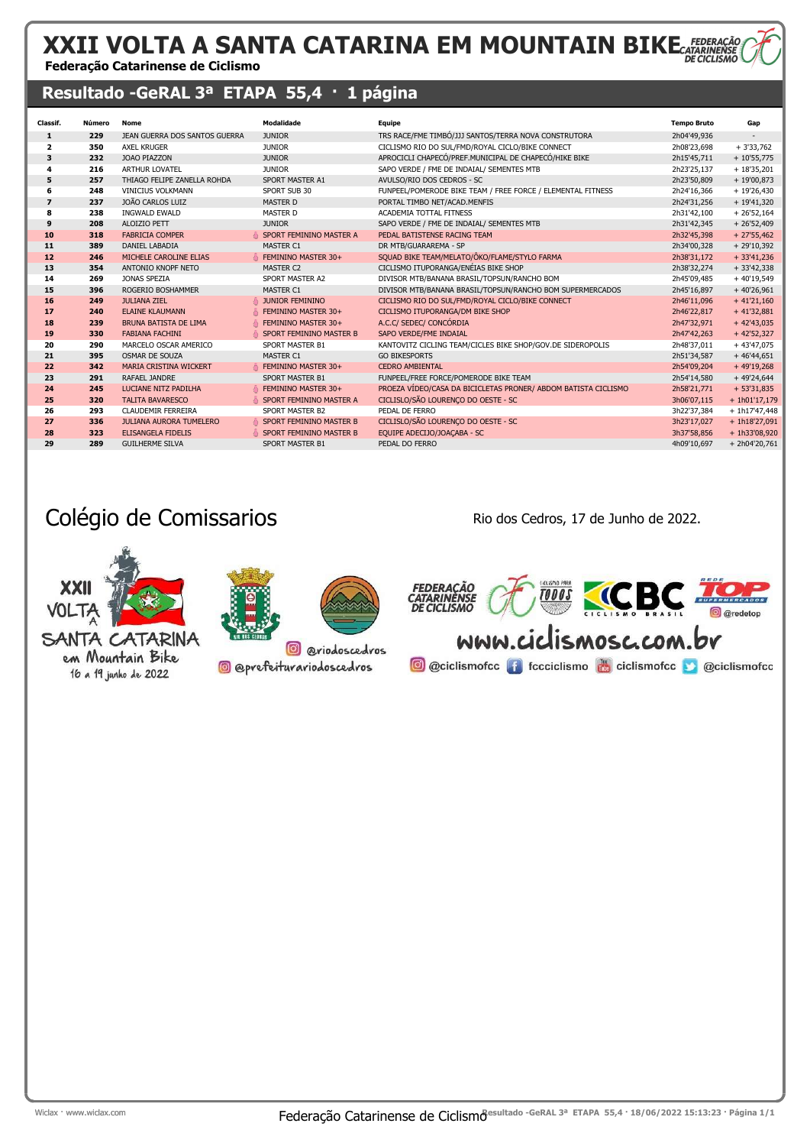### XXII VOLTA A SANTA CATARINA EM MOUNTAIN BIKE Federação Catarinense de Ciclismo

### Resultado -GeRAL 3ª ETAPA 55,4 · 1 página

| <b>Classif.</b>          | Número | Nome                           | Modalidade              | Equipe                                                         | <b>Tempo Bruto</b> | Gap             |
|--------------------------|--------|--------------------------------|-------------------------|----------------------------------------------------------------|--------------------|-----------------|
| $\mathbf{1}$             | 229    | JEAN GUERRA DOS SANTOS GUERRA  | <b>JUNIOR</b>           | TRS RACE/FME TIMBÓ/JJJ SANTOS/TERRA NOVA CONSTRUTORA           | 2h04'49,936        |                 |
| $\overline{2}$           | 350    | <b>AXEL KRUGER</b>             | <b>JUNIOR</b>           | CICLISMO RIO DO SUL/FMD/ROYAL CICLO/BIKE CONNECT               | 2h08'23,698        | $+3'33,762$     |
| 3                        | 232    | <b>JOAO PIAZZON</b>            | <b>JUNIOR</b>           | APROCICLI CHAPECÓ/PREF.MUNICIPAL DE CHAPECÓ/HIKE BIKE          | 2h15'45,711        | $+10'55,775$    |
| 4                        | 216    | <b>ARTHUR LOVATEL</b>          | <b>JUNIOR</b>           | SAPO VERDE / FME DE INDAIAL/ SEMENTES MTB                      | 2h23'25,137        | $+18'35,201$    |
| 5                        | 257    | THIAGO FELIPE ZANELLA ROHDA    | SPORT MASTER A1         | AVULSO/RIO DOS CEDROS - SC                                     | 2h23'50,809        | $+19'00,873$    |
| 6                        | 248    | <b>VINICIUS VOLKMANN</b>       | SPORT SUB 30            | FUNPEEL/POMERODE BIKE TEAM / FREE FORCE / ELEMENTAL FITNESS    | 2h24'16,366        | $+19'26,430$    |
| $\overline{\phantom{a}}$ | 237    | JOÃO CARLOS LUIZ               | <b>MASTER D</b>         | PORTAL TIMBO NET/ACAD.MENFIS                                   | 2h24'31,256        | $+19'41,320$    |
| 8                        | 238    | <b>INGWALD EWALD</b>           | <b>MASTER D</b>         | ACADEMIA TOTTAL FITNESS                                        | 2h31'42,100        | $+26'52,164$    |
| 9                        | 208    | ALOIZIO PETT                   | <b>JUNIOR</b>           | SAPO VERDE / FME DE INDAIAL/ SEMENTES MTB                      | 2h31'42,345        | $+26'52,409$    |
| 10                       | 318    | <b>FABRICIA COMPER</b>         | SPORT FEMININO MASTER A | PEDAL BATISTENSE RACING TEAM                                   | 2h32'45,398        | $+27'55,462$    |
| 11                       | 389    | DANIEL LABADIA                 | <b>MASTER C1</b>        | DR MTB/GUARAREMA - SP                                          | 2h34'00,328        | $+29'10,392$    |
| 12                       | 246    | MICHELE CAROLINE ELIAS         | FEMININO MASTER 30+     | SQUAD BIKE TEAM/MELATO/ÔKO/FLAME/STYLO FARMA                   | 2h38'31,172        | $+33'41,236$    |
| 13                       | 354    | ANTONIO KNOPF NETO             | <b>MASTER C2</b>        | CICLISMO ITUPORANGA/ENÉIAS BIKE SHOP                           | 2h38'32,274        | $+33'42,338$    |
| 14                       | 269    | JONAS SPEZIA                   | SPORT MASTER A2         | DIVISOR MTB/BANANA BRASIL/TOPSUN/RANCHO BOM                    | 2h45'09,485        | $+40'19,549$    |
| 15                       | 396    | ROGERIO BOSHAMMER              | <b>MASTER C1</b>        | DIVISOR MTB/BANANA BRASIL/TOPSUN/RANCHO BOM SUPERMERCADOS      | 2h45'16,897        | $+40'26,961$    |
| 16                       | 249    | <b>JULIANA ZIEL</b>            | <b>JUNIOR FEMININO</b>  | CICLISMO RIO DO SUL/FMD/ROYAL CICLO/BIKE CONNECT               | 2h46'11,096        | $+41'21,160$    |
| 17                       | 240    | <b>ELAINE KLAUMANN</b>         | FEMININO MASTER 30+     | CICLISMO ITUPORANGA/DM BIKE SHOP                               | 2h46'22,817        | $+41'32,881$    |
| 18                       | 239    | <b>BRUNA BATISTA DE LIMA</b>   | FEMININO MASTER 30+     | A.C.C/ SEDEC/ CONCÓRDIA                                        | 2h47'32,971        | $+42'43,035$    |
| 19                       | 330    | <b>FABIANA FACHINI</b>         | SPORT FEMININO MASTER B | SAPO VERDE/FME INDAIAL                                         | 2h47'42,263        | $+42'52,327$    |
| 20                       | 290    | MARCELO OSCAR AMERICO          | <b>SPORT MASTER B1</b>  | KANTOVITZ CICLING TEAM/CICLES BIKE SHOP/GOV.DE SIDEROPOLIS     | 2h48'37,011        | $+43'47,075$    |
| 21                       | 395    | <b>OSMAR DE SOUZA</b>          | <b>MASTER C1</b>        | <b>GO BIKESPORTS</b>                                           | 2h51'34,587        | $+46'44,651$    |
| 22                       | 342    | MARIA CRISTINA WICKERT         | FEMININO MASTER 30+     | <b>CEDRO AMBIENTAL</b>                                         | 2h54'09,204        | $+49'19,268$    |
| 23                       | 291    | RAFAEL JANDRE                  | <b>SPORT MASTER B1</b>  | FUNPEEL/FREE FORCE/POMERODE BIKE TEAM                          | 2h54'14,580        | + 49'24,644     |
| 24                       | 245    | LUCIANE NITZ PADILHA           | FEMININO MASTER 30+     | PROEZA VÍDEO/CASA DA BICICLETAS PRONER/ ABDOM BATISTA CICLISMO | 2h58'21,771        | $+ 53'31,835$   |
| 25                       | 320    | <b>TALITA BAVARESCO</b>        | SPORT FEMININO MASTER A | CICLISLO/SÃO LOURENÇO DO OESTE - SC                            | 3h06'07,115        | $+ 1h01'17,179$ |
| 26                       | 293    | <b>CLAUDEMIR FERREIRA</b>      | <b>SPORT MASTER B2</b>  | PEDAL DE FERRO                                                 | 3h22'37,384        | $+ 1h17'47,448$ |
| 27                       | 336    | <b>JULIANA AURORA TUMELERO</b> | SPORT FEMININO MASTER B | CICLISLO/SÃO LOURENÇO DO OESTE - SC                            | 3h23'17,027        | $+ 1h18'27,091$ |
| 28                       | 323    | <b>ELISANGELA FIDELIS</b>      | SPORT FEMININO MASTER B | EQUIPE ADECIJO/JOACABA - SC                                    | 3h37'58,856        | +1h33'08,920    |
| 29                       | 289    | <b>GUILHERME SILVA</b>         | SPORT MASTER B1         | PEDAL DO FERRO                                                 | 4h09'10,697        | + 2h04'20,761   |

## Colégio de Comissarios **Rio dos Cedros, 17 de Junho de 2022**.

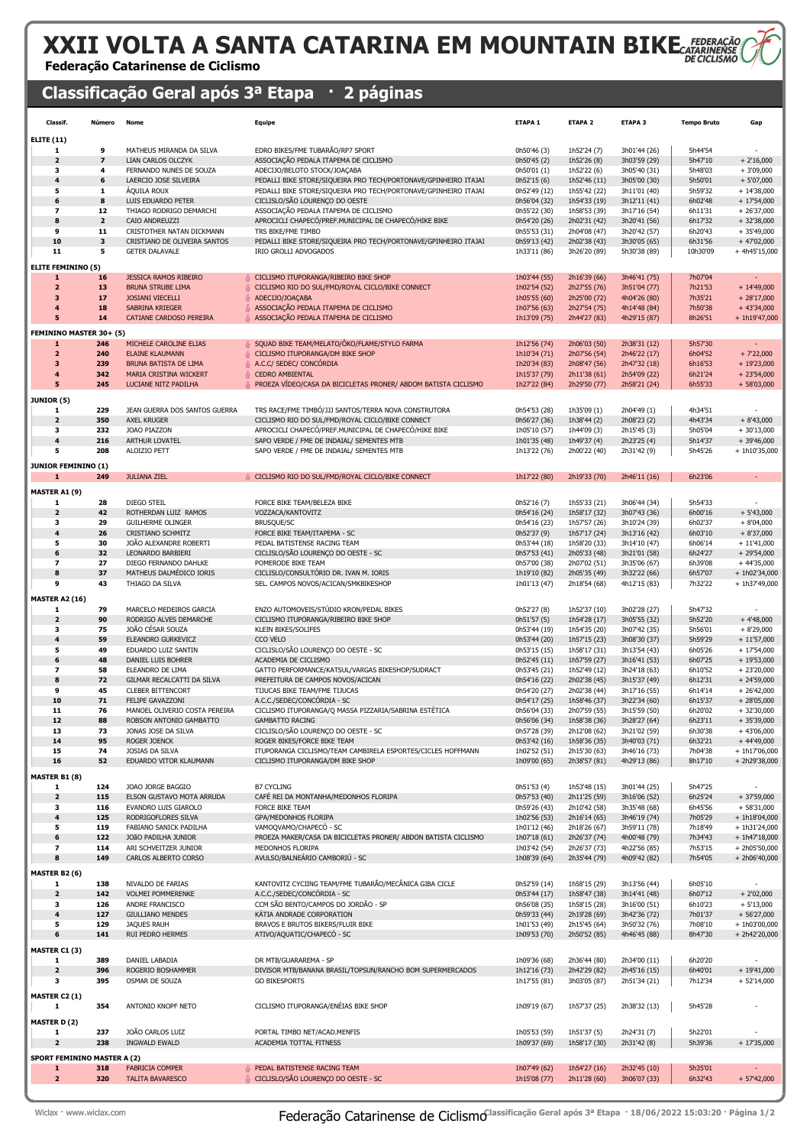# XXII VOLTA A SANTA CATARINA EM MOUNTAIN BIKE

#### Federação Catarinense de Ciclismo

### Classificação Geral após 3ª Etapa · 2 páginas

| Classif.                           | Número                  | Nome                                              | Equipe                                                                                     | ETAPA <sub>1</sub>           | <b>ETAPA 2</b>               | ETAPA <sub>3</sub>           | <b>Tempo Bruto</b> | Gap                             |
|------------------------------------|-------------------------|---------------------------------------------------|--------------------------------------------------------------------------------------------|------------------------------|------------------------------|------------------------------|--------------------|---------------------------------|
| <b>ELITE (11)</b>                  |                         |                                                   |                                                                                            |                              |                              |                              |                    |                                 |
| 1                                  | 9                       | MATHEUS MIRANDA DA SILVA                          | EDRO BIKES/FME TUBARÃO/RP7 SPORT                                                           | 0h50'46 (3)                  | 1h52'24 (7)                  | 3h01'44 (26)                 | 5h44'54            |                                 |
| $\overline{\mathbf{2}}$            | 7                       | LIAN CARLOS OLCZYK                                | ASSOCIAÇÃO PEDALA ITAPEMA DE CICLISMO                                                      | 0h50'45 (2)                  | 1h52'26 (8)                  | 3h03'59 (29)                 | 5h47'10            | $+2'16,000$                     |
| з                                  | 4                       | FERNANDO NUNES DE SOUZA                           | ADECIJO/BELOTO STOCK/JOAÇABA                                                               | 0h50'01 (1)                  | 1h52'22 (6)                  | 3h05'40 (31)                 | 5h48'03            | $+3'09,000$                     |
| $\overline{4}$                     | 6                       | LAERCIO JOSE SILVEIRA                             | PEDALLI BIKE STORE/SIQUEIRA PRO TECH/PORTONAVE/GPINHEIRO ITAJAI                            | 0h52'15 (6)                  | 1h52'46 (11)                 | 3h05'00 (30)                 | 5h50'01            | $+5'07,000$                     |
| 5                                  | 1                       | ÁQUILA ROUX                                       | PEDALLI BIKE STORE/SIQUEIRA PRO TECH/PORTONAVE/GPINHEIRO ITAJAI                            | 0h52'49 (12)                 | 1h55'42 (22)                 | 3h11'01 (40)                 | 5h59'32            | $+ 14'38,000$                   |
| 6                                  | 8                       | LUIS EDUARDO PETER                                | CICLISLO/SÃO LOURENÇO DO OESTE                                                             | 0h56'04 (32)                 | 1h54'33 (19)                 | 3h12'11 (41)                 | 6h02'48            | $+ 17'54,000$                   |
| $\overline{\phantom{a}}$           | 12                      | THIAGO RODRIGO DEMARCHI                           | ASSOCIAÇÃO PEDALA ITAPEMA DE CICLISMO                                                      | 0h55'22 (30)                 | 1h58'53 (39)                 | 3h17'16 (54)                 | 6h11'31            | $+26'37,000$                    |
| 8                                  | $\overline{\mathbf{2}}$ | CAIO ANDREUZZI                                    | APROCICLI CHAPECÓ/PREF.MUNICIPAL DE CHAPECÓ/HIKE BIKE                                      | 0h54'20 (26)                 | 2h02'31 (42)                 | 3h20'41 (56)                 | 6h17'32            | $+32'38,000$                    |
| 9                                  | 11                      | CRISTOTHER NATAN DICKMANN                         | TRS BIKE/FME TIMBO                                                                         | 0h55'53 (31)                 | 2h04'08 (47)                 | 3h20'42 (57)                 | 6h20'43            | $+35'49,000$                    |
| 10                                 | 3                       | CRISTIANO DE OLIVEIRA SANTOS                      | PEDALLI BIKE STORE/SIQUEIRA PRO TECH/PORTONAVE/GPINHEIRO ITAJAI                            | 0h59'13 (42)                 | 2h02'38 (43)                 | 3h30'05 (65)                 | 6h31'56            | $+47'02,000$                    |
| 11                                 | 5                       | <b>GETER DALAVALE</b>                             | <b>IRIO GROLLI ADVOGADOS</b>                                                               | 1h33'11 (86)                 | 3h26'20 (89)                 | 5h30'38 (89)                 | 10h30'09           | $+4h45'15,000$                  |
| <b>ELITE FEMININO (5)</b>          |                         |                                                   |                                                                                            |                              |                              |                              |                    |                                 |
| 1                                  | 16                      | <b>JESSICA RAMOS RIBEIRO</b>                      | CICLISMO ITUPORANGA/RIBEIRO BIKE SHOP                                                      | 1h03'44 (55)                 | 2h16'39 (66)                 | 3h46'41 (75)                 | 7h07'04            |                                 |
| $\overline{\mathbf{2}}$            | 13                      | <b>BRUNA STRUBE LIMA</b>                          | CICLISMO RIO DO SUL/FMD/ROYAL CICLO/BIKE CONNECT                                           | 1h02'54 (52)                 | 2h27'55 (76)                 | 3h51'04 (77)                 | 7h21'53            | $+ 14'49,000$                   |
| 3                                  | 17                      | <b>JOSIANI VIECELLI</b>                           | ADECIJO/JOAÇABA                                                                            | 1h05'55 (60)                 | 2h25'00 (72)                 | 4h04'26 (80)                 | 7h35'21            | $+28'17,000$                    |
| $\overline{4}$                     | 18                      | SABRINA KRIEGER                                   | ASSOCIAÇÃO PEDALA ITAPEMA DE CICLISMO                                                      | 1h07'56 (63)                 | 2h27'54 (75)                 | 4h14'48 (84)                 | 7h50'38            | $+43'34,000$                    |
| 5                                  | 14                      | CATIANE CARDOSO PEREIRA                           | ASSOCIAÇÃO PEDALA ITAPEMA DE CICLISMO                                                      | 1h13'09 (75)                 | 2h44'27 (83)                 | 4h29'15 (87)                 | 8h26'51            | + 1h19'47,000                   |
| FEMININO MASTER 30+ (5)            |                         |                                                   |                                                                                            |                              |                              |                              |                    |                                 |
| 1                                  | 246                     | MICHELE CAROLINE ELIAS                            | SQUAD BIKE TEAM/MELATO/ÖKO/FLAME/STYLO FARMA                                               | 1h12'56 (74)                 | 2h06'03 (50)                 | 2h38'31 (12)                 | 5h57'30            |                                 |
| $\overline{\mathbf{z}}$            | 240                     | <b>ELAINE KLAUMANN</b>                            | CICLISMO ITUPORANGA/DM BIKE SHOP                                                           | 1h10'34 (71)                 | 2h07'56 (54)                 | 2h46'22 (17)                 | 6h04'52            | $+ 7'22,000$                    |
| 3                                  | 239                     | BRUNA BATISTA DE LIMA                             | A.C.C/ SEDEC/ CONCORDIA                                                                    | 1h20'34 (83)                 | 2h08'47 (56)                 | 2h47'32 (18)                 | 6h16'53            | $+19'23,000$                    |
| $\boldsymbol{4}$                   | 342                     | MARIA CRISTINA WICKERT                            | <b>CEDRO AMBIENTAL</b>                                                                     | 1h15'37 (79)                 | 2h11'38 (61)                 | 2h54'09 (22)                 | 6h21'24            | $+23'54,000$                    |
| 5                                  | 245                     | LUCIANE NITZ PADILHA                              | PROEZA VÍDEO/CASA DA BICICLETAS PRONER/ ABDOM BATISTA CICLISMO                             | 1h27'22 (84)                 | 2h29'50 (77)                 | 2h58'21 (24)                 | 6h55'33            | $+58'03,000$                    |
| <b>JUNIOR (5)</b>                  |                         |                                                   |                                                                                            |                              |                              |                              |                    |                                 |
| 1                                  | 229                     | JEAN GUERRA DOS SANTOS GUERRA                     | TRS RACE/FME TIMBO/JJJ SANTOS/TERRA NOVA CONSTRUTORA                                       | 0h54'53 (28)                 | 1h35'09 (1)                  | 2h04'49 (1)                  | 4h34'51            |                                 |
| $\overline{\mathbf{2}}$            | 350                     | <b>AXEL KRUGER</b>                                | CICLISMO RIO DO SUL/FMD/ROYAL CICLO/BIKE CONNECT                                           | 0h56'27 (36)                 | 1h38'44 (2)                  | 2h08'23 (2)                  | 4h43'34            | $+8'43,000$                     |
| з                                  | 232                     | JOAO PIAZZON                                      | APROCICLI CHAPECO/PREF.MUNICIPAL DE CHAPECO/HIKE BIKE                                      | 1h05'10 (57)                 | 1h44'09 (3)                  | 2h15'45 (3)                  | 5h05'04            | $+30'13,000$                    |
| 4                                  | 216                     | ARTHUR LOVATEL                                    | SAPO VERDE / FME DE INDAIAL/ SEMENTES MTB                                                  | 1h01'35 (48)                 | 1h49'37 (4)                  | 2h23'25 (4)                  | 5h14'37            | $+39'46,000$                    |
| 5                                  | 208                     | ALOIZIO PETT                                      | SAPO VERDE / FME DE INDAIAL/ SEMENTES MTB                                                  | 1h13'22 (76)                 | 2h00'22 (40)                 | 2h31'42 (9)                  | 5h45'26            | + 1h10'35,000                   |
| <b>JUNIOR FEMININO (1)</b>         |                         |                                                   |                                                                                            |                              |                              |                              |                    |                                 |
| $\mathbf{1}$                       | 249                     | <b>JULIANA ZIEL</b>                               | CICLISMO RIO DO SUL/FMD/ROYAL CICLO/BIKE CONNECT                                           | 1h17'22 (80)                 | 2h19'33 (70)                 | 2h46'11 (16)                 | 6h23'06            | $\overline{\phantom{a}}$        |
|                                    |                         |                                                   |                                                                                            |                              |                              |                              |                    |                                 |
| <b>MASTER A1 (9)</b>               |                         |                                                   |                                                                                            |                              |                              |                              |                    |                                 |
| 1                                  | 28                      | <b>DIEGO STEIL</b>                                | FORCE BIKE TEAM/BELEZA BIKE                                                                | 0h52'16 (7)                  | 1h55'33 (21)                 | 3h06'44 (34)                 | 5h54'33            |                                 |
| $\overline{\mathbf{2}}$            | 42                      | ROTHERDAN LUIZ RAMOS                              | VOZZACA/KANTOVITZ                                                                          | 0h54'16 (24)                 | 1h58'17 (32)                 | 3h07'43 (36)                 | 6h00'16            | $+5'43,000$                     |
| з<br>4                             | 29<br>26                | <b>GUILHERME OLINGER</b>                          | <b>BRUSQUE/SC</b>                                                                          | 0h54'16 (23)                 | 1h57'57 (26)                 | 3h10'24 (39)                 | 6h02'37            | $+8'04,000$                     |
| 5                                  | 30                      | CRISTIANO SCHMITZ<br>JOÃO ALEXANDRE ROBERTI       | FORCE BIKE TEAM/ITAPEMA - SC<br>PEDAL BATISTENSE RACING TEAM                               | 0h52'37 (9)<br>0h53'44 (18)  | 1h57'17 (24)<br>1h58'20 (33) | 3h13'16 (42)<br>3h14'10 (47) | 6h03'10<br>6h06'14 | $+8'37,000$<br>$+11'41,000$     |
| 6                                  | 32                      | LEONARDO BARBIERI                                 | CICLISLO/SÃO LOURENÇO DO OESTE - SC                                                        | 0h57'53 (41)                 | 2h05'33 (48)                 | 3h21'01 (58)                 | 6h24'27            | $+29'54,000$                    |
| 7                                  | 27                      | DIEGO FERNANDO DAHLKE                             | POMERODE BIKE TEAM                                                                         | 0h57'00 (38)                 | 2h07'02 (51)                 | 3h35'06 (67)                 | 6h39'08            | $+44'35,000$                    |
| 8                                  | 37                      | MATHEUS DALMÉDICO IORIS                           | CICLISLO/CONSULTÓRIO DR. IVAN M. IORIS                                                     | 1h19'10 (82)                 | 2h05'35 (49)                 | 3h32'22 (66)                 | 6h57'07            | $+ 1h02'34,000$                 |
| 9                                  | 43                      | THIAGO DA SILVA                                   | SEL. CAMPOS NOVOS/ACICAN/SMKBIKESHOP                                                       | 1h01'13 (47)                 | 2h18'54 (68)                 | 4h12'15 (83)                 | 7h32'22            | + 1h37'49,000                   |
|                                    |                         |                                                   |                                                                                            |                              |                              |                              |                    |                                 |
| <b>MASTER A2 (16)</b>              |                         |                                                   |                                                                                            |                              |                              |                              |                    |                                 |
| 1<br>$\mathbf 2$                   | 79<br>90                | MARCELO MEDEIROS GARCIA<br>RODRIGO ALVES DEMARCHE | ENZO AUTOMOVEIS/STÚDIO KRON/PEDAL BIKES<br>CICLISMO ITUPORANGA/RIBEIRO BIKE SHOP           | 0h52'27 (8)<br>0h51'57 (5)   | 1h52'37 (10)<br>1h54'28 (17) | 3h02'28 (27)<br>3h05'55 (32) | 5h47'32<br>5h52'20 | $+4'48,000$                     |
| з                                  | 75                      | JOÃO CÉSAR SOUZA                                  | KLEIN BIKES/SOLIFES                                                                        | 0h53'44 (19)                 | 1h54'35 (20)                 | 3h07'42 (35)                 | 5h56'01            | $+8'29,000$                     |
| 4                                  | 59                      | ELEANDRO GURKEVICZ                                | CCO VELO                                                                                   | 0h53'44 (20)                 | 1h57'15 (23)                 | 3h08'30 (37)                 | 5h59'29            | $+11'57,000$                    |
| 5                                  | 49                      | EDUARDO LUIZ SANTIN                               | CICLISLO/SÃO LOURENÇO DO OESTE - SC                                                        | 0h53'15 (15)                 | 1h58'17 (31)                 | 3h13'54 (43)                 | 6h05'26            | $+17'54,000$                    |
| 6                                  | 48                      | DANIEL LUIS BOHRER                                | ACADEMIA DE CICLISMO                                                                       | 0h52'45 (11)                 | 1h57'59 (27)                 | 3h16'41 (53)                 | 6h07'25            | $+19'53,000$                    |
| 7                                  | 58                      | ELEANDRO DE LIMA                                  | GATTO PERFORMANCE/KATSUL/VARGAS BIKESHOP/SUDRACT                                           | 0h53'45 (21)                 | 1h52'49 (12)                 | 3h24'18 (63)                 | 6h10'52            | $+23'20,000$                    |
| 8                                  | 72                      | GILMAR RECALCATTI DA SILVA                        | PREFEITURA DE CAMPOS NOVOS/ACICAN                                                          | 0h54'16 (22)                 | 2h02'38 (45)                 | 3h15'37 (49)                 | 6h12'31            | $+ 24'59,000$                   |
| 9                                  | 45                      | <b>CLEBER BITTENCORT</b>                          | TIJUCAS BIKE TEAM/FME TIJUCAS                                                              | 0h54'20 (27)                 | 2h02'38 (44)                 | 3h17'16 (55)                 | 6h14'14            | $+26'42,000$                    |
| 10                                 | 71                      | FELIPE GAVAZZONI                                  | A.C.C./SEDEC/CONCÓRDIA - SC                                                                | 0h54'17 (25)                 | 1h58'46 (37)                 | 3h22'34 (60)                 | 6h15'37            | $+28'05,000$                    |
| 11                                 | 76                      | MANOEL OLIVERIO COSTA PEREIRA                     | CICLISMO ITUPORANGA/Q MASSA PIZZARIA/SABRINA ESTÉTICA                                      | 0h56'04 (33)                 | 2h07'59 (55)                 | 3h15'59 (50)                 | 6h20'02            | $+32'30,000$                    |
| 12                                 | <b>RR</b>               | ROBSON ANTONIO GAMBATTO                           | <b>GAMBATTO RACING</b>                                                                     | 0h56'06 (34)                 | 1h58'38 (36)                 | 3h28'27 (64)                 | 6h23'11            | $+35'39,000$                    |
| 13                                 | 73                      | JONAS JOSE DA SILVA                               | CICLISLO/SÃO LOURENÇO DO OESTE - SC                                                        | 0h57'28 (39)                 | 2h12'08 (62)                 | 3h21'02 (59)                 | 6h30'38            | $+43'06,000$                    |
| 14<br>15                           | 95<br>74                | ROGER JOENCK<br>JOSIAS DA SILVA                   | ROGER BIKES/FORCE BIKE TEAM<br>ITUPORANGA CICLISMO/TEAM CAMBIRELA ESPORTES/CICLES HOFFMANN | 0h53'42 (16)<br>1h02'52 (51) | 1h58'36 (35)                 | 3h40'03 (71)                 | 6h32'21<br>7h04'38 | $+44'49,000$<br>+ 1h17'06,000   |
| 16                                 | 52                      | EDUARDO VITOR KLAUMANN                            | CICLISMO ITUPORANGA/DM BIKE SHOP                                                           | 1h09'00 (65)                 | 2h15'30 (63)<br>2h38'57 (81) | 3h46'16 (73)<br>4h29'13 (86) | 8h17'10            | + 2h29'38,000                   |
|                                    |                         |                                                   |                                                                                            |                              |                              |                              |                    |                                 |
| <b>MASTER B1 (8)</b>               |                         |                                                   |                                                                                            |                              |                              |                              |                    |                                 |
| 1                                  | 124                     | JOAO JORGE BAGGIO                                 | <b>B7 CYCLING</b>                                                                          | 0h51'53 (4)                  | 1h53'48 (15)                 | 3h01'44 (25)                 | 5h47'25            |                                 |
| $\mathbf{z}$                       | 115                     | ELSON GUSTAVO MOTA ARRUDA                         | CAFÉ REI DA MONTANHA/MEDONHOS FLORIPA                                                      | 0h57'53 (40)                 | 2h11'25 (59)                 | 3h16'06 (52)                 | 6h25'24            | $+37'59,000$                    |
| 3<br>$\pmb{4}$                     | 116<br>125              | EVANDRO LUIS GIAROLO<br>RODRIGOFLORES SILVA       | <b>FORCE BIKE TEAM</b><br>GPA/MEDONHOS FLORIPA                                             | 0h59'26 (43)<br>1h02'56 (53) | 2h10'42 (58)<br>2h16'14 (65) | 3h35'48 (68)<br>3h46'19 (74) | 6h45'56<br>7h05'29 | $+58'31,000$<br>$+ 1h18'04,000$ |
| 5                                  | 119                     | FABIANO SANICK PADILHA                            | VAMOQVAMO/CHAPECÓ - SC                                                                     | 1h01'12 (46)                 | 2h18'26 (67)                 | 3h59'11 (78)                 | 7h18'49            | + 1h31'24,000                   |
| 6                                  | 122                     | JOÃO PADILHA JUNIOR                               | PROEZA MAKER/CASA DA BICICLETAS PRONER/ ABDON BATISTA CICLISMO                             | 1h07'18 (61)                 | 2h26'37 (74)                 | 4h00'48 (79)                 | 7h34'43            | $+ 1h47'18,000$                 |
| $\overline{\phantom{a}}$           | 114                     | ARI SCHVEITZER JUNIOR                             | MEDONHOS FLORIPA                                                                           | 1h03'42 (54)                 | 2h26'37 (73)                 | 4h22'56 (85)                 | 7h53'15            | + 2h05'50,000                   |
| 8                                  | 149                     | CARLOS ALBERTO CORSO                              | AVULSO/BALNEÁRIO CAMBORIÚ - SC                                                             | 1h08'39 (64)                 | 2h35'44 (79)                 | 4h09'42 (82)                 | 7h54'05            | $+ 2h06'40,000$                 |
|                                    |                         |                                                   |                                                                                            |                              |                              |                              |                    |                                 |
| <b>MASTER B2 (6)</b>               |                         |                                                   |                                                                                            |                              |                              |                              |                    |                                 |
| 1<br>$\mathbf{2}$                  | 138<br>142              | NIVALDO DE FARIAS<br><b>VOLMEI POMMERENKE</b>     | KANTOVITZ CYCIING TEAM/FME TUBARÃO/MECÂNICA GIBA CICLE<br>A.C.C./SEDEC/CONCORDIA - SC      | 0h52'59 (14)<br>0h53'44 (17) | 1h58'15 (29)<br>1h58'47 (38) | 3h13'56 (44)<br>3h14'41 (48) | 6h05'10<br>6h07'12 | $+2'02,000$                     |
| з                                  | 126                     | ANDRE FRANCISCO                                   | CCM SÃO BENTO/CAMPOS DO JORDÃO - SP                                                        | 0h56'08 (35)                 | 1h58'15 (28)                 | 3h16'00 (51)                 | 6h10'23            | $+5'13,000$                     |
| $\pmb{4}$                          | 127                     | <b>GIULLIANO MENDES</b>                           | KATIA ANDRADE CORPORATION                                                                  | 0h59'33 (44)                 | 2h19'28 (69)                 | 3h42'36 (72)                 | 7h01'37            | $+56'27,000$                    |
| 5                                  | 129                     | JAQUES RAUH                                       | BRAVOS E BRUTOS BIKERS/FLUIR BIKE                                                          | 1h01'53 (49)                 | 2h15'45 (64)                 | 3h50'32 (76)                 | 7h08'10            | $+ 1h03'00,000$                 |
| 6                                  | 141                     | RUI PEDRO HERMES                                  | ATIVO/AQUATIC/CHAPECÓ - SC                                                                 | 1h09'53 (70)                 | 2h50'52 (85)                 | 4h46'45 (88)                 | 8h47'30            | + 2h42'20,000                   |
|                                    |                         |                                                   |                                                                                            |                              |                              |                              |                    |                                 |
| MASTER C1 (3)                      |                         |                                                   |                                                                                            |                              |                              |                              |                    |                                 |
| 1<br>$\mathbf{z}$                  | 389<br>396              | DANIEL LABADIA<br>ROGERIO BOSHAMMER               | DR MTB/GUARAREMA - SP<br>DIVISOR MTB/BANANA BRASIL/TOPSUN/RANCHO BOM SUPERMERCADOS         | 1h09'36 (68)<br>1h12'16 (73) | 2h36'44 (80)<br>2h42'29 (82) | 2h34'00 (11)<br>2h45'16 (15) | 6h20'20<br>6h40'01 | $+ 19'41,000$                   |
| 3                                  | 395                     | OSMAR DE SOUZA                                    | <b>GO BIKESPORTS</b>                                                                       | 1h17'55 (81)                 | 3h03'05 (87)                 | 2h51'34 (21)                 | 7h12'34            | $+52'14,000$                    |
|                                    |                         |                                                   |                                                                                            |                              |                              |                              |                    |                                 |
| MASTER C2 (1)                      |                         |                                                   |                                                                                            |                              |                              |                              |                    |                                 |
| 1                                  | 354                     | ANTONIO KNOPF NETO                                | CICLISMO ITUPORANGA/ENÉIAS BIKE SHOP                                                       | 1h09'19 (67)                 | 1h57'37 (25)                 | 2h38'32 (13)                 | 5h45'28            |                                 |
| <b>MASTER D(2)</b>                 |                         |                                                   |                                                                                            |                              |                              |                              |                    |                                 |
| 1                                  | 237                     | JOÃO CARLOS LUIZ                                  | PORTAL TIMBO NET/ACAD.MENFIS                                                               | 1h05'53 (59)                 | 1h51'37 (5)                  | 2h24'31 (7)                  | 5h22'01            |                                 |
| $\mathbf{z}$                       | 238                     | INGWALD EWALD                                     | ACADEMIA TOTTAL FITNESS                                                                    | 1h09'37 (69)                 | 1h58'17 (30)                 | 2h31'42 (8)                  | 5h39'36            | $+17'35,000$                    |
| <b>SPORT FEMININO MASTER A (2)</b> |                         |                                                   |                                                                                            |                              |                              |                              |                    |                                 |
| $\mathbf{1}$                       | 318                     | <b>FABRICIA COMPER</b>                            | PEDAL BATISTENSE RACING TEAM                                                               | 1h07'49 (62)                 | 1h54'27 (16)                 | 2h32'45 (10)                 | 5h35'01            |                                 |
| $\mathbf{2}$                       | 320                     | <b>TALITA BAVARESCO</b>                           | CICLISLO/SÃO LOURENÇO DO OESTE - SC                                                        | 1h15'08 (77)                 | 2h11'28 (60)                 | 3h06'07 (33)                 | 6h32'43            | $+ 57'42,000$                   |
|                                    |                         |                                                   |                                                                                            |                              |                              |                              |                    |                                 |

Wiclax · www.wiclax.com **Classificação Catarinense de Ciclismo**Classificação Geral após 3ª Etapa · 18/06/2022 15:03:20 · Página 1/2